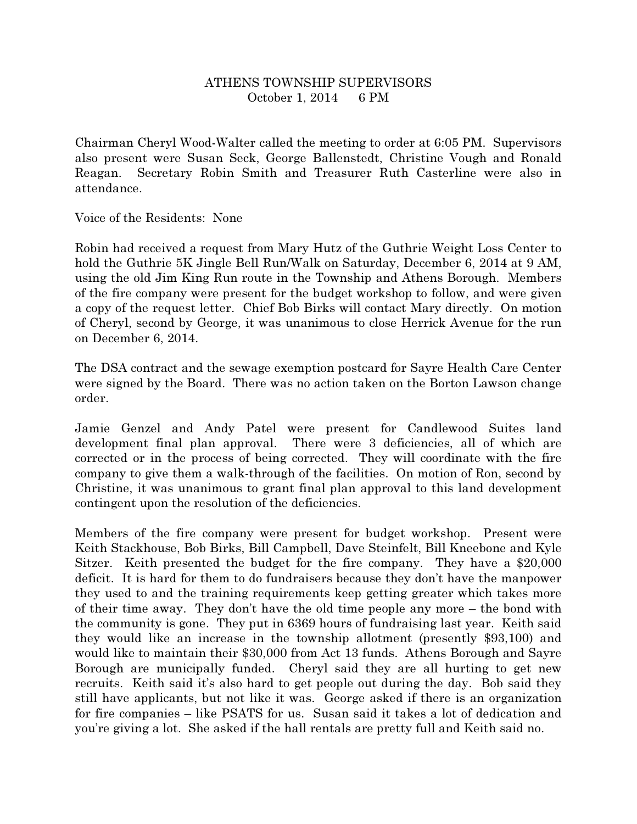## ATHENS TOWNSHIP SUPERVISORS October 1, 2014 6 PM

Chairman Cheryl Wood-Walter called the meeting to order at 6:05 PM. Supervisors also present were Susan Seck, George Ballenstedt, Christine Vough and Ronald Reagan. Secretary Robin Smith and Treasurer Ruth Casterline were also in attendance.

Voice of the Residents: None

Robin had received a request from Mary Hutz of the Guthrie Weight Loss Center to hold the Guthrie 5K Jingle Bell Run/Walk on Saturday, December 6, 2014 at 9 AM, using the old Jim King Run route in the Township and Athens Borough. Members of the fire company were present for the budget workshop to follow, and were given a copy of the request letter. Chief Bob Birks will contact Mary directly. On motion of Cheryl, second by George, it was unanimous to close Herrick Avenue for the run on December 6, 2014.

The DSA contract and the sewage exemption postcard for Sayre Health Care Center were signed by the Board. There was no action taken on the Borton Lawson change order.

Jamie Genzel and Andy Patel were present for Candlewood Suites land development final plan approval. There were 3 deficiencies, all of which are corrected or in the process of being corrected. They will coordinate with the fire company to give them a walk-through of the facilities. On motion of Ron, second by Christine, it was unanimous to grant final plan approval to this land development contingent upon the resolution of the deficiencies.

Members of the fire company were present for budget workshop. Present were Keith Stackhouse, Bob Birks, Bill Campbell, Dave Steinfelt, Bill Kneebone and Kyle Sitzer. Keith presented the budget for the fire company. They have a \$20,000 deficit. It is hard for them to do fundraisers because they don't have the manpower they used to and the training requirements keep getting greater which takes more of their time away. They don't have the old time people any more – the bond with the community is gone. They put in 6369 hours of fundraising last year. Keith said they would like an increase in the township allotment (presently \$93,100) and would like to maintain their \$30,000 from Act 13 funds. Athens Borough and Sayre Borough are municipally funded. Cheryl said they are all hurting to get new recruits. Keith said it's also hard to get people out during the day. Bob said they still have applicants, but not like it was. George asked if there is an organization for fire companies – like PSATS for us. Susan said it takes a lot of dedication and you're giving a lot. She asked if the hall rentals are pretty full and Keith said no.